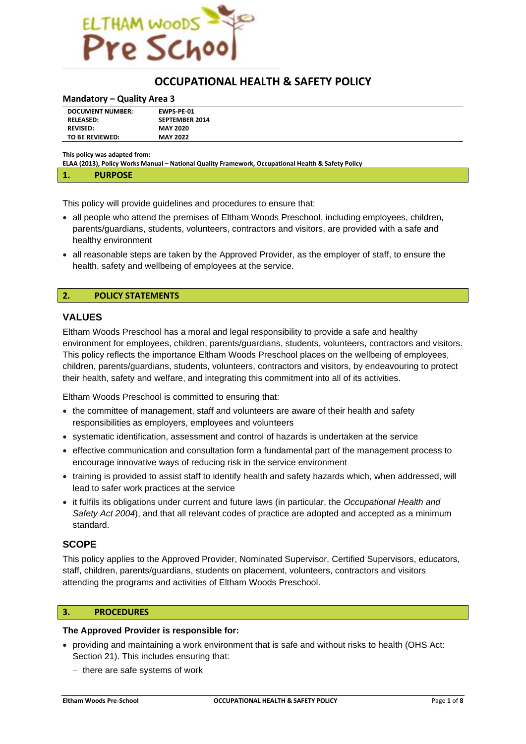

# **OCCUPATIONAL HEALTH & SAFETY POLICY**

#### **Mandatory – Quality Area 3**

| <b>DOCUMENT NUMBER:</b> | <b>EWPS-PE-01</b>     |
|-------------------------|-----------------------|
| <b>RELEASED:</b>        | <b>SEPTEMBER 2014</b> |
| <b>REVISED:</b>         | <b>MAY 2020</b>       |
| TO BE REVIEWED:         | <b>MAY 2022</b>       |

**This policy was adapted from:**

**ELAA (2013), Policy Works Manual – National Quality Framework, Occupational Health & Safety Policy**

| . | <b>DURDOSE</b><br>. |  |
|---|---------------------|--|
|   |                     |  |

This policy will provide guidelines and procedures to ensure that:

- all people who attend the premises of Eltham Woods Preschool, including employees, children, parents/guardians, students, volunteers, contractors and visitors, are provided with a safe and healthy environment
- all reasonable steps are taken by the Approved Provider, as the employer of staff, to ensure the health, safety and wellbeing of employees at the service.

## **2. POLICY STATEMENTS**

# **VALUES**

Eltham Woods Preschool has a moral and legal responsibility to provide a safe and healthy environment for employees, children, parents/guardians, students, volunteers, contractors and visitors. This policy reflects the importance Eltham Woods Preschool places on the wellbeing of employees, children, parents/guardians, students, volunteers, contractors and visitors, by endeavouring to protect their health, safety and welfare, and integrating this commitment into all of its activities.

Eltham Woods Preschool is committed to ensuring that:

- the committee of management, staff and volunteers are aware of their health and safety responsibilities as employers, employees and volunteers
- systematic identification, assessment and control of hazards is undertaken at the service
- effective communication and consultation form a fundamental part of the management process to encourage innovative ways of reducing risk in the service environment
- training is provided to assist staff to identify health and safety hazards which, when addressed, will lead to safer work practices at the service
- it fulfils its obligations under current and future laws (in particular, the *Occupational Health and Safety Act 2004*), and that all relevant codes of practice are adopted and accepted as a minimum standard.

# **SCOPE**

This policy applies to the Approved Provider, Nominated Supervisor, Certified Supervisors, educators, staff, children, parents/guardians, students on placement, volunteers, contractors and visitors attending the programs and activities of Eltham Woods Preschool.

#### **3. PROCEDURES**

#### **The Approved Provider is responsible for:**

- providing and maintaining a work environment that is safe and without risks to health (OHS Act: Section 21). This includes ensuring that:
	- − there are safe systems of work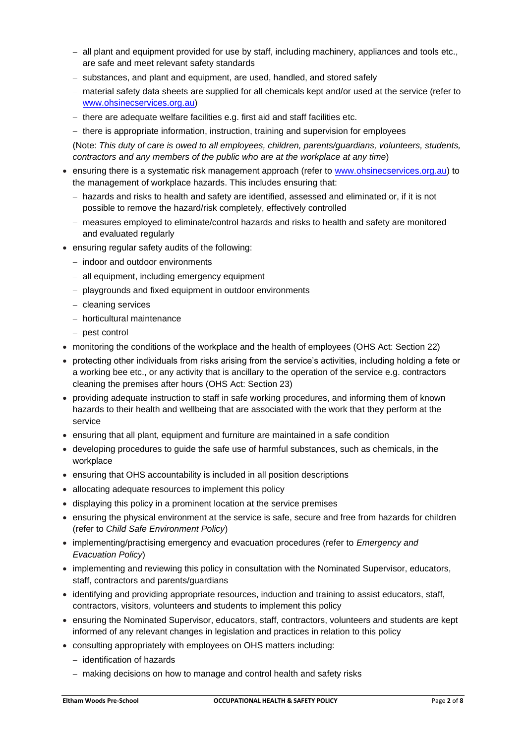- − all plant and equipment provided for use by staff, including machinery, appliances and tools etc., are safe and meet relevant safety standards
- − substances, and plant and equipment, are used, handled, and stored safely
- − material safety data sheets are supplied for all chemicals kept and/or used at the service (refer to www.ohsinecservices.org.au)
- − there are adequate welfare facilities e.g. first aid and staff facilities etc.
- − there is appropriate information, instruction, training and supervision for employees

(Note: *This duty of care is owed to all employees, children, parents/guardians, volunteers, students, contractors and any members of the public who are at the workplace at any time*)

- ensuring there is a systematic risk management approach (refer to [www.ohsinecservices.org.au\)](http://www.ohsinecservices.org.au/) to the management of workplace hazards. This includes ensuring that:
	- − hazards and risks to health and safety are identified, assessed and eliminated or, if it is not possible to remove the hazard/risk completely, effectively controlled
	- − measures employed to eliminate/control hazards and risks to health and safety are monitored and evaluated regularly
- ensuring regular safety audits of the following:
	- − indoor and outdoor environments
	- − all equipment, including emergency equipment
	- − playgrounds and fixed equipment in outdoor environments
	- − cleaning services
	- − horticultural maintenance
	- − pest control
- monitoring the conditions of the workplace and the health of employees (OHS Act: Section 22)
- protecting other individuals from risks arising from the service's activities, including holding a fete or a working bee etc., or any activity that is ancillary to the operation of the service e.g. contractors cleaning the premises after hours (OHS Act: Section 23)
- providing adequate instruction to staff in safe working procedures, and informing them of known hazards to their health and wellbeing that are associated with the work that they perform at the service
- ensuring that all plant, equipment and furniture are maintained in a safe condition
- developing procedures to guide the safe use of harmful substances, such as chemicals, in the workplace
- ensuring that OHS accountability is included in all position descriptions
- allocating adequate resources to implement this policy
- displaying this policy in a prominent location at the service premises
- ensuring the physical environment at the service is safe, secure and free from hazards for children (refer to *Child Safe Environment Policy*)
- implementing/practising emergency and evacuation procedures (refer to *Emergency and Evacuation Policy*)
- implementing and reviewing this policy in consultation with the Nominated Supervisor, educators, staff, contractors and parents/guardians
- identifying and providing appropriate resources, induction and training to assist educators, staff, contractors, visitors, volunteers and students to implement this policy
- ensuring the Nominated Supervisor, educators, staff, contractors, volunteers and students are kept informed of any relevant changes in legislation and practices in relation to this policy
- consulting appropriately with employees on OHS matters including:
	- − identification of hazards
	- − making decisions on how to manage and control health and safety risks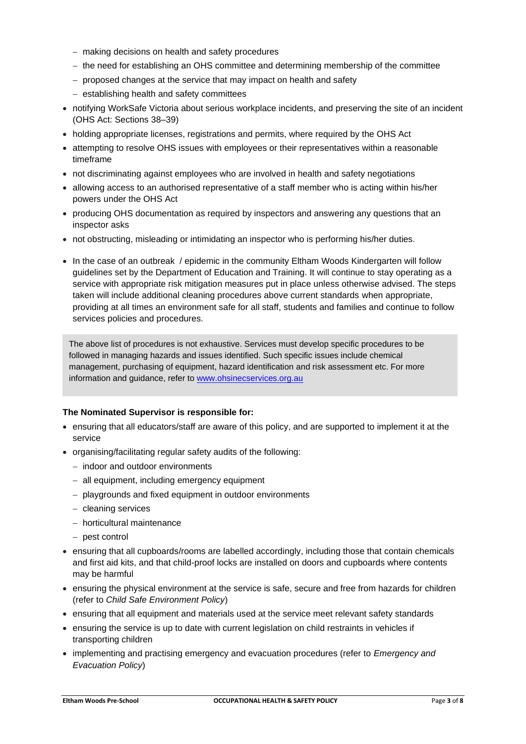- − making decisions on health and safety procedures
- − the need for establishing an OHS committee and determining membership of the committee
- − proposed changes at the service that may impact on health and safety
- − establishing health and safety committees
- notifying WorkSafe Victoria about serious workplace incidents, and preserving the site of an incident (OHS Act: Sections 38–39)
- holding appropriate licenses, registrations and permits, where required by the OHS Act
- attempting to resolve OHS issues with employees or their representatives within a reasonable timeframe
- not discriminating against employees who are involved in health and safety negotiations
- allowing access to an authorised representative of a staff member who is acting within his/her powers under the OHS Act
- producing OHS documentation as required by inspectors and answering any questions that an inspector asks
- not obstructing, misleading or intimidating an inspector who is performing his/her duties.
- In the case of an outbreak / epidemic in the community Eltham Woods Kindergarten will follow guidelines set by the Department of Education and Training. It will continue to stay operating as a service with appropriate risk mitigation measures put in place unless otherwise advised. The steps taken will include additional cleaning procedures above current standards when appropriate, providing at all times an environment safe for all staff, students and families and continue to follow services policies and procedures.

The above list of procedures is not exhaustive. Services must develop specific procedures to be followed in managing hazards and issues identified. Such specific issues include chemical management, purchasing of equipment, hazard identification and risk assessment etc. For more information and guidance, refer to [www.ohsinecservices.org.au](http://www.ohsinecservices.org.au/)

# **The Nominated Supervisor is responsible for:**

- ensuring that all educators/staff are aware of this policy, and are supported to implement it at the service
- organising/facilitating regular safety audits of the following:
	- − indoor and outdoor environments
	- − all equipment, including emergency equipment
	- − playgrounds and fixed equipment in outdoor environments
	- − cleaning services
	- − horticultural maintenance
	- − pest control
- ensuring that all cupboards/rooms are labelled accordingly, including those that contain chemicals and first aid kits, and that child-proof locks are installed on doors and cupboards where contents may be harmful
- ensuring the physical environment at the service is safe, secure and free from hazards for children (refer to *Child Safe Environment Policy*)
- ensuring that all equipment and materials used at the service meet relevant safety standards
- ensuring the service is up to date with current legislation on child restraints in vehicles if transporting children
- implementing and practising emergency and evacuation procedures (refer to *Emergency and Evacuation Policy*)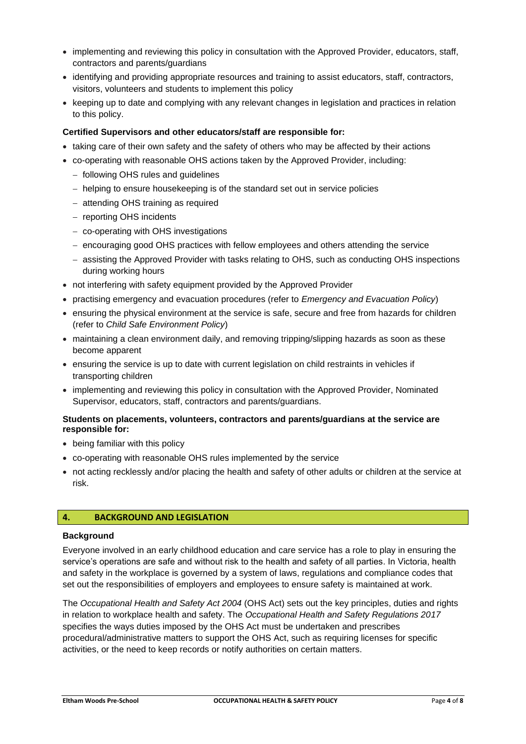- implementing and reviewing this policy in consultation with the Approved Provider, educators, staff, contractors and parents/guardians
- identifying and providing appropriate resources and training to assist educators, staff, contractors, visitors, volunteers and students to implement this policy
- keeping up to date and complying with any relevant changes in legislation and practices in relation to this policy.

# **Certified Supervisors and other educators/staff are responsible for:**

- taking care of their own safety and the safety of others who may be affected by their actions
- co-operating with reasonable OHS actions taken by the Approved Provider, including:
	- − following OHS rules and guidelines
	- − helping to ensure housekeeping is of the standard set out in service policies
	- − attending OHS training as required
	- − reporting OHS incidents
	- − co-operating with OHS investigations
	- − encouraging good OHS practices with fellow employees and others attending the service
	- − assisting the Approved Provider with tasks relating to OHS, such as conducting OHS inspections during working hours
- not interfering with safety equipment provided by the Approved Provider
- practising emergency and evacuation procedures (refer to *Emergency and Evacuation Policy*)
- ensuring the physical environment at the service is safe, secure and free from hazards for children (refer to *Child Safe Environment Policy*)
- maintaining a clean environment daily, and removing tripping/slipping hazards as soon as these become apparent
- ensuring the service is up to date with current legislation on child restraints in vehicles if transporting children
- implementing and reviewing this policy in consultation with the Approved Provider, Nominated Supervisor, educators, staff, contractors and parents/guardians.

# **Students on placements, volunteers, contractors and parents/guardians at the service are responsible for:**

- being familiar with this policy
- co-operating with reasonable OHS rules implemented by the service
- not acting recklessly and/or placing the health and safety of other adults or children at the service at risk.

# **4. BACKGROUND AND LEGISLATION**

# **Background**

Everyone involved in an early childhood education and care service has a role to play in ensuring the service's operations are safe and without risk to the health and safety of all parties. In Victoria, health and safety in the workplace is governed by a system of laws, regulations and compliance codes that set out the responsibilities of employers and employees to ensure safety is maintained at work.

The *Occupational Health and Safety Act 2004* (OHS Act) sets out the key principles, duties and rights in relation to workplace health and safety. The *Occupational Health and Safety Regulations 2017* specifies the ways duties imposed by the OHS Act must be undertaken and prescribes procedural/administrative matters to support the OHS Act, such as requiring licenses for specific activities, or the need to keep records or notify authorities on certain matters.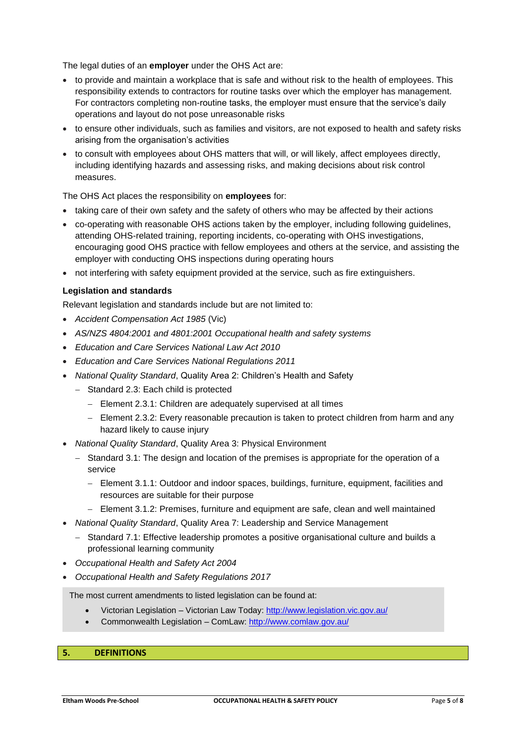The legal duties of an **employer** under the OHS Act are:

- to provide and maintain a workplace that is safe and without risk to the health of employees. This responsibility extends to contractors for routine tasks over which the employer has management. For contractors completing non-routine tasks, the employer must ensure that the service's daily operations and layout do not pose unreasonable risks
- to ensure other individuals, such as families and visitors, are not exposed to health and safety risks arising from the organisation's activities
- to consult with employees about OHS matters that will, or will likely, affect employees directly, including identifying hazards and assessing risks, and making decisions about risk control measures.

## The OHS Act places the responsibility on **employees** for:

- taking care of their own safety and the safety of others who may be affected by their actions
- co-operating with reasonable OHS actions taken by the employer, including following guidelines, attending OHS-related training, reporting incidents, co-operating with OHS investigations, encouraging good OHS practice with fellow employees and others at the service, and assisting the employer with conducting OHS inspections during operating hours
- not interfering with safety equipment provided at the service, such as fire extinguishers.

## **Legislation and standards**

Relevant legislation and standards include but are not limited to:

- *Accident Compensation Act 1985* (Vic)
- *AS/NZS 4804:2001 and 4801:2001 Occupational health and safety systems*
- *Education and Care Services National Law Act 2010*
- *Education and Care Services National Regulations 2011*
- *National Quality Standard*, Quality Area 2: Children's Health and Safety
	- − Standard 2.3: Each child is protected
		- − Element 2.3.1: Children are adequately supervised at all times
		- − Element 2.3.2: Every reasonable precaution is taken to protect children from harm and any hazard likely to cause injury
- *National Quality Standard*, Quality Area 3: Physical Environment
	- − Standard 3.1: The design and location of the premises is appropriate for the operation of a service
		- − Element 3.1.1: Outdoor and indoor spaces, buildings, furniture, equipment, facilities and resources are suitable for their purpose
		- − Element 3.1.2: Premises, furniture and equipment are safe, clean and well maintained
- *National Quality Standard*, Quality Area 7: Leadership and Service Management
	- − Standard 7.1: Effective leadership promotes a positive organisational culture and builds a professional learning community
- *Occupational Health and Safety Act 2004*
- *Occupational Health and Safety Regulations 2017*

The most current amendments to listed legislation can be found at:

- Victorian Legislation Victorian Law Today: <http://www.legislation.vic.gov.au/>
- Commonwealth Legislation ComLaw:<http://www.comlaw.gov.au/>

## **5. DEFINITIONS**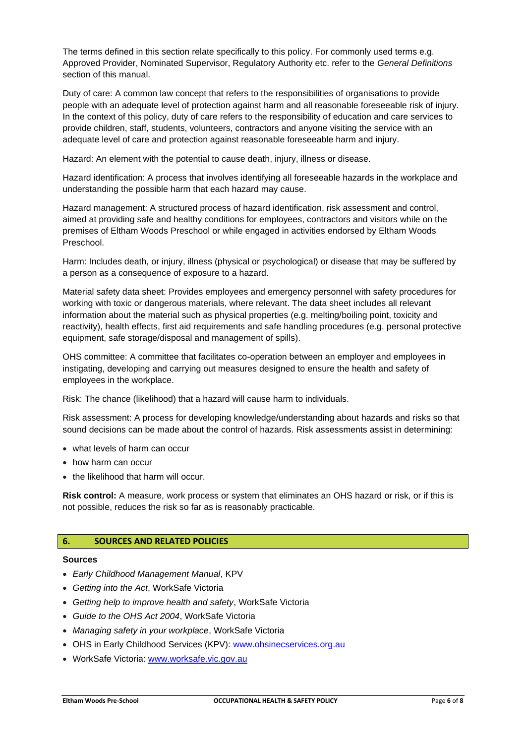The terms defined in this section relate specifically to this policy. For commonly used terms e.g. Approved Provider, Nominated Supervisor, Regulatory Authority etc. refer to the *General Definitions* section of this manual.

Duty of care: A common law concept that refers to the responsibilities of organisations to provide people with an adequate level of protection against harm and all reasonable foreseeable risk of injury. In the context of this policy, duty of care refers to the responsibility of education and care services to provide children, staff, students, volunteers, contractors and anyone visiting the service with an adequate level of care and protection against reasonable foreseeable harm and injury.

Hazard: An element with the potential to cause death, injury, illness or disease.

Hazard identification: A process that involves identifying all foreseeable hazards in the workplace and understanding the possible harm that each hazard may cause.

Hazard management: A structured process of hazard identification, risk assessment and control, aimed at providing safe and healthy conditions for employees, contractors and visitors while on the premises of Eltham Woods Preschool or while engaged in activities endorsed by Eltham Woods Preschool.

Harm: Includes death, or injury, illness (physical or psychological) or disease that may be suffered by a person as a consequence of exposure to a hazard.

Material safety data sheet: Provides employees and emergency personnel with safety procedures for working with toxic or dangerous materials, where relevant. The data sheet includes all relevant information about the material such as physical properties (e.g. melting/boiling point, toxicity and reactivity), health effects, first aid requirements and safe handling procedures (e.g. personal protective equipment, safe storage/disposal and management of spills).

OHS committee: A committee that facilitates co-operation between an employer and employees in instigating, developing and carrying out measures designed to ensure the health and safety of employees in the workplace.

Risk: The chance (likelihood) that a hazard will cause harm to individuals.

Risk assessment: A process for developing knowledge/understanding about hazards and risks so that sound decisions can be made about the control of hazards. Risk assessments assist in determining:

- what levels of harm can occur
- how harm can occur
- the likelihood that harm will occur.

**Risk control:** A measure, work process or system that eliminates an OHS hazard or risk, or if this is not possible, reduces the risk so far as is reasonably practicable.

## **6. SOURCES AND RELATED POLICIES**

#### **Sources**

- *Early Childhood Management Manual*, KPV
- *Getting into the Act*, WorkSafe Victoria
- *Getting help to improve health and safety*, WorkSafe Victoria
- *Guide to the OHS Act 2004*, WorkSafe Victoria
- *Managing safety in your workplace*, WorkSafe Victoria
- OHS in Early Childhood Services (KPV): www.ohsinecservices.org.au
- WorkSafe Victoria: www.worksafe.vic.gov.au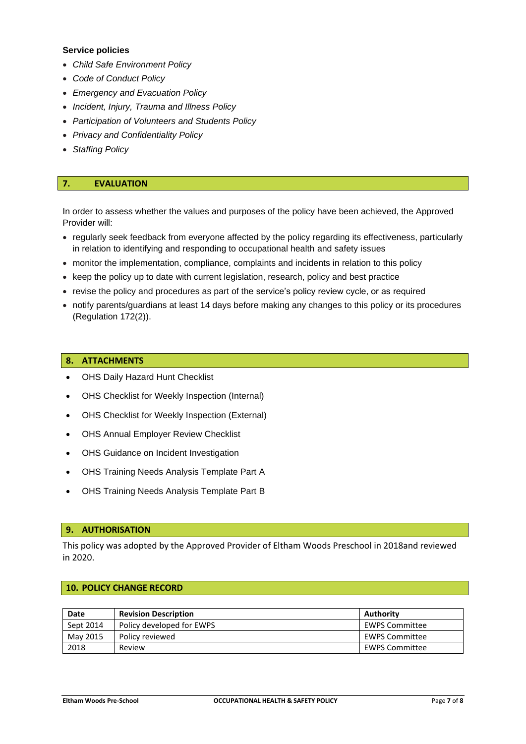## **Service policies**

- *Child Safe Environment Policy*
- *Code of Conduct Policy*
- *Emergency and Evacuation Policy*
- *Incident, Injury, Trauma and Illness Policy*
- *Participation of Volunteers and Students Policy*
- *Privacy and Confidentiality Policy*
- *Staffing Policy*

# **7. EVALUATION**

In order to assess whether the values and purposes of the policy have been achieved, the Approved Provider will:

- regularly seek feedback from everyone affected by the policy regarding its effectiveness, particularly in relation to identifying and responding to occupational health and safety issues
- monitor the implementation, compliance, complaints and incidents in relation to this policy
- keep the policy up to date with current legislation, research, policy and best practice
- revise the policy and procedures as part of the service's policy review cycle, or as required
- notify parents/guardians at least 14 days before making any changes to this policy or its procedures (Regulation 172(2)).

#### **8. ATTACHMENTS**

- OHS Daily Hazard Hunt Checklist
- OHS Checklist for Weekly Inspection (Internal)
- OHS Checklist for Weekly Inspection (External)
- OHS Annual Employer Review Checklist
- OHS Guidance on Incident Investigation
- OHS Training Needs Analysis Template Part A
- OHS Training Needs Analysis Template Part B

## **9. AUTHORISATION**

This policy was adopted by the Approved Provider of Eltham Woods Preschool in 2018and reviewed in 2020.

#### **10. POLICY CHANGE RECORD**

| Date      | <b>Revision Description</b> | Authority             |
|-----------|-----------------------------|-----------------------|
| Sept 2014 | Policy developed for EWPS   | <b>EWPS Committee</b> |
| May 2015  | Policy reviewed             | <b>EWPS Committee</b> |
| 2018      | Review                      | <b>EWPS Committee</b> |